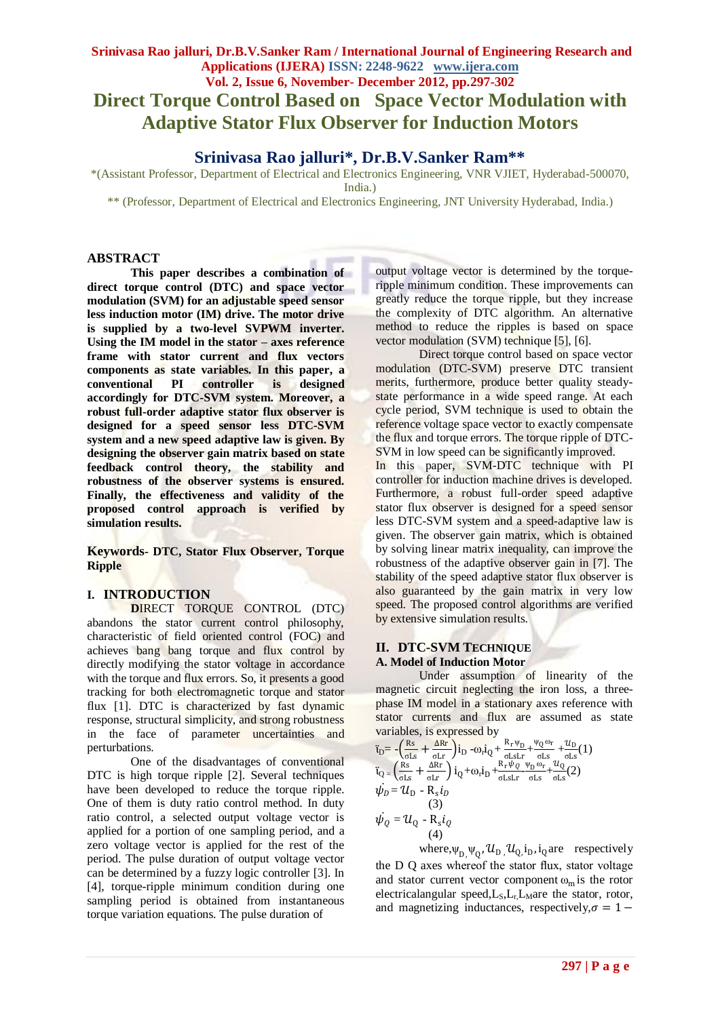# **Srinivasa Rao jalluri, Dr.B.V.Sanker Ram / International Journal of Engineering Research and Applications (IJERA) ISSN: 2248-9622 www.ijera.com Vol. 2, Issue 6, November- December 2012, pp.297-302 Direct Torque Control Based on Space Vector Modulation with Adaptive Stator Flux Observer for Induction Motors**

**Srinivasa Rao jalluri\*, Dr.B.V.Sanker Ram\*\***

\*(Assistant Professor, Department of Electrical and Electronics Engineering, VNR VJIET, Hyderabad-500070, India.)

\*\* (Professor, Department of Electrical and Electronics Engineering, JNT University Hyderabad, India.)

## **ABSTRACT**

**This paper describes a combination of direct torque control (DTC) and space vector modulation (SVM) for an adjustable speed sensor less induction motor (IM) drive. The motor drive is supplied by a two-level SVPWM inverter. Using the IM model in the stator – axes reference frame with stator current and flux vectors components as state variables. In this paper, a conventional PI controller is designed accordingly for DTC-SVM system. Moreover, a robust full-order adaptive stator flux observer is designed for a speed sensor less DTC-SVM system and a new speed adaptive law is given. By designing the observer gain matrix based on state feedback control theory, the stability and robustness of the observer systems is ensured. Finally, the effectiveness and validity of the proposed control approach is verified by simulation results.**

**Keywords- DTC, Stator Flux Observer, Torque Ripple**

# **I. INTRODUCTION**

**D**IRECT TORQUE CONTROL (DTC) abandons the stator current control philosophy, characteristic of field oriented control (FOC) and achieves bang bang torque and flux control by directly modifying the stator voltage in accordance with the torque and flux errors. So, it presents a good tracking for both electromagnetic torque and stator flux [1]. DTC is characterized by fast dynamic response, structural simplicity, and strong robustness in the face of parameter uncertainties and perturbations.

One of the disadvantages of conventional DTC is high torque ripple [2]. Several techniques have been developed to reduce the torque ripple. One of them is duty ratio control method. In duty ratio control, a selected output voltage vector is applied for a portion of one sampling period, and a zero voltage vector is applied for the rest of the period. The pulse duration of output voltage vector can be determined by a fuzzy logic controller [3]. In [4], torque-ripple minimum condition during one sampling period is obtained from instantaneous torque variation equations. The pulse duration of

output voltage vector is determined by the torqueripple minimum condition. These improvements can greatly reduce the torque ripple, but they increase the complexity of DTC algorithm. An alternative method to reduce the ripples is based on space vector modulation (SVM) technique [5], [6].

Direct torque control based on space vector modulation (DTC-SVM) preserve DTC transient merits, furthermore, produce better quality steadystate performance in a wide speed range. At each cycle period, SVM technique is used to obtain the reference voltage space vector to exactly compensate the flux and torque errors. The torque ripple of DTC-SVM in low speed can be significantly improved. In this paper, SVM-DTC technique with PI controller for induction machine drives is developed. Furthermore, a robust full-order speed adaptive stator flux observer is designed for a speed sensor less DTC-SVM system and a speed-adaptive law is given. The observer gain matrix, which is obtained by solving linear matrix inequality, can improve the robustness of the adaptive observer gain in [7]. The stability of the speed adaptive stator flux observer is also guaranteed by the gain matrix in very low speed. The proposed control algorithms are verified by extensive simulation results.

# **II. DTC-SVM TECHNIQUE A. Model of Induction Motor**

Under assumption of linearity of the magnetic circuit neglecting the iron loss, a threephase IM model in a stationary axes reference with stator currents and flux are assumed as state variables, is expressed by

$$
\tilde{t}_{D} = -\left(\frac{Rs}{cls} + \frac{\Delta Rr}{olsr}\right) i_{D} - \omega_{r} i_{Q} + \frac{R_{r} \psi_{D}}{cl_{s} slr} + \frac{\omega_{D}}{cl_{s} slr} (1)
$$
\n
$$
\tilde{t}_{Q} = \left(\frac{Rs}{cls} + \frac{\Delta Rr}{olsr}\right) i_{Q} + \omega_{r} i_{D} + \frac{R_{r} \psi_{Q}}{cl_{s} slr} - \frac{\omega_{D}}{cl_{s} slr} (2)
$$
\n
$$
\psi_{D} = \mathcal{U}_{D} - R_{s} i_{D}
$$
\n(3)\n
$$
\psi_{Q} = \mathcal{U}_{Q} - R_{s} i_{Q}
$$
\n(4)

where,  $\psi_{D}$ ,  $\psi_{Q}$ ,  $\mathcal{U}_{D}$ ,  $\mathcal{U}_{Q}$ ,  $i_{D}$ ,  $i_{Q}$  are respectively the D Q axes whereof the stator flux, stator voltage and stator current vector component  $\omega_m$  is the rotor electricalangular speed, $L_S, L_r L_M$ are the stator, rotor, and magnetizing inductances, respectively,  $\sigma = 1 -$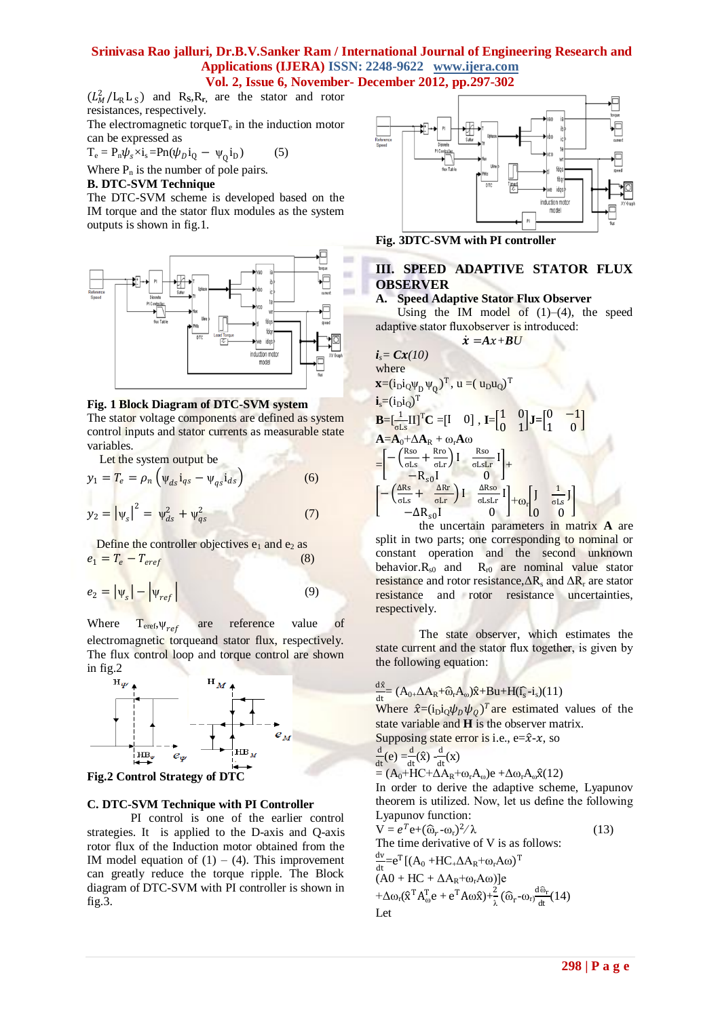I

 $(L_M^2/L_R L_S)$  and R<sub>S</sub>, R<sub>r</sub>, are the stator and rotor resistances, respectively.

The electromagnetic torque $T_e$  in the induction motor can be expressed as

 $T_e = P_n \psi_s \times i_s = P_n(\psi_D i_Q - \psi_Q i_D)$  (5)

Where  $P_n$  is the number of pole pairs.

### **B. DTC-SVM Technique**

The DTC-SVM scheme is developed based on the IM torque and the stator flux modules as the system outputs is shown in fig.1.



### **Fig. 1 Block Diagram of DTC-SVM system**

The stator voltage components are defined as system control inputs and stator currents as measurable state variables.

Let the system output be

$$
y_1 = T_e = \rho_n \left( \psi_{ds} i_{qs} - \psi_{qs} i_{ds} \right)
$$
(6)  

$$
y_2 = |\psi_s|^2 = \psi_{ds}^2 + \psi_{qs}^2
$$
(7)

Define the controller objectives  $e_1$  and  $e_2$  as  $e_1 = T_e - T_{\text{eref}}$ (8) (8)

$$
e_2 = |\psi_s| - |\psi_{ref}| \tag{9}
$$

Where  $T_{\text{eref}} \psi_{ref}$ are reference value of electromagnetic torqueand stator flux, respectively. The flux control loop and torque control are shown in fig.2





### **C. DTC-SVM Technique with PI Controller**

PI control is one of the earlier control strategies. It is applied to the D-axis and Q-axis rotor flux of the Induction motor obtained from the IM model equation of  $(1) - (4)$ . This improvement can greatly reduce the torque ripple. The Block diagram of DTC-SVM with PI controller is shown in fig.3.



**Fig. 3DTC-SVM with PI controller**

# **III. SPEED ADAPTIVE STATOR FLUX OBSERVER**

# **A. Speed Adaptive Stator Flux Observer**

Using the IM model of  $(1)$ – $(4)$ , the speed adaptive stator fluxobserver is introduced:

$$
\dot{x} = Ax + BU
$$
\nwhere  
\n
$$
\mathbf{x} = (i \text{p} i \text{q})^{\text{T}}
$$
\nwhere  
\n
$$
\mathbf{x} = (i \text{p} i \text{q})^{\text{T}}
$$
\n
$$
\mathbf{x} = (i \text{p} i \text{q})^{\text{T}}
$$
\n
$$
\mathbf{i} = (i \text{p} i \text{q})^{\text{T}}
$$
\n
$$
\mathbf{i} = (i \text{p} i \text{q})^{\text{T}}
$$
\n
$$
\mathbf{B} = \left[\frac{1}{\text{e} L \text{s}} \text{II}\right]^{\text{T}} \text{C} = \left[1 \quad 0\right], \quad \mathbf{I} = \left[\frac{1}{0} \quad 1\right] \text{J} = \left[\frac{0}{1} \quad 0\right]
$$
\n
$$
\mathbf{A} = \mathbf{A}_0 + \Delta \mathbf{A}_R + \omega_r \mathbf{A} \omega
$$
\n
$$
= \left[-\left(\frac{R \text{so}}{\text{e} L \text{s}} + \frac{R \text{ro}}{\text{e} L \text{r}}\right) \mathbf{I} - \frac{R \text{so}}{\text{e} L \text{s} L \text{r}}\mathbf{I}\right] + \left[\frac{R \text{so}}{-\text{e} L \text{s} L \text{r}}\mathbf{I}\right] + \omega_r \left[\frac{1}{0} \quad \frac{1}{\text{e} L \text{s}}\mathbf{I}\right]
$$
\n
$$
= \Delta R_{\text{so}} \mathbf{I} \qquad \text{on the magnetic field}
$$

the uncertain parameters in matrix **A** are split in two parts; one corresponding to nominal or constant operation and the second unknown behavior. $R_{s0}$  and  $R_{r0}$  are nominal value stator resistance and rotor resistance, $\Delta R_s$  and  $\Delta R_r$  are stator resistance and rotor resistance uncertainties, respectively.

The state observer, which estimates the state current and the stator flux together, is given by the following equation:

#### dx  $\frac{dx}{dt} = (A_{0+} \Delta A_R + \widehat{\omega}_r A_{\omega})\widehat{x} + B u + H(\widehat{I_s} - i_s)(11)$

Where  $\hat{x} = (i_D i_Q \psi_D \psi_Q)^T$  are estimated values of the state variable and **H** is the observer matrix.

Supposing state error is i.e., e=
$$
\hat{x}
$$
- $x$ , so  
 $\frac{d}{dx}(e) = \frac{d}{dx}(\hat{x}) - \frac{d}{dx}(x)$ 

$$
\frac{d\mathbf{t}}{dt}(e) = \frac{d\mathbf{t}}{dt}(x) - \frac{d\mathbf{t}}{dt}(x)
$$
  
=  $(A_0 + HC + \Delta A_R + \omega_r A_\omega)e + \Delta \omega_r A_\omega \hat{\mathbf{x}}(12)$ 

In order to derive the adaptive scheme, Lyapunov theorem is utilized. Now, let us define the following Lyapunov function:

$$
V = e^{T}e + (\hat{\omega}_{r} - \omega_{r})^{2}/\lambda
$$
\nThe time derivative of V is as follows:  
\n
$$
\frac{dv}{dt} = e^{T}[(A_{0} + HC_{+}\Delta A_{R} + \omega_{r}A\omega)^{T}
$$
\n
$$
(A0 + HC + \Delta A_{R} + \omega_{r}A\omega)]e
$$
\n
$$
+ \Delta \omega_{r}(\hat{x}^{T}A_{\omega}^{T}e + e^{T}A\omega\hat{x}) + \frac{2}{\lambda}(\hat{\omega}_{r} - \omega_{r})\frac{d\hat{\omega}_{r}}{dt}(14)
$$
\nLet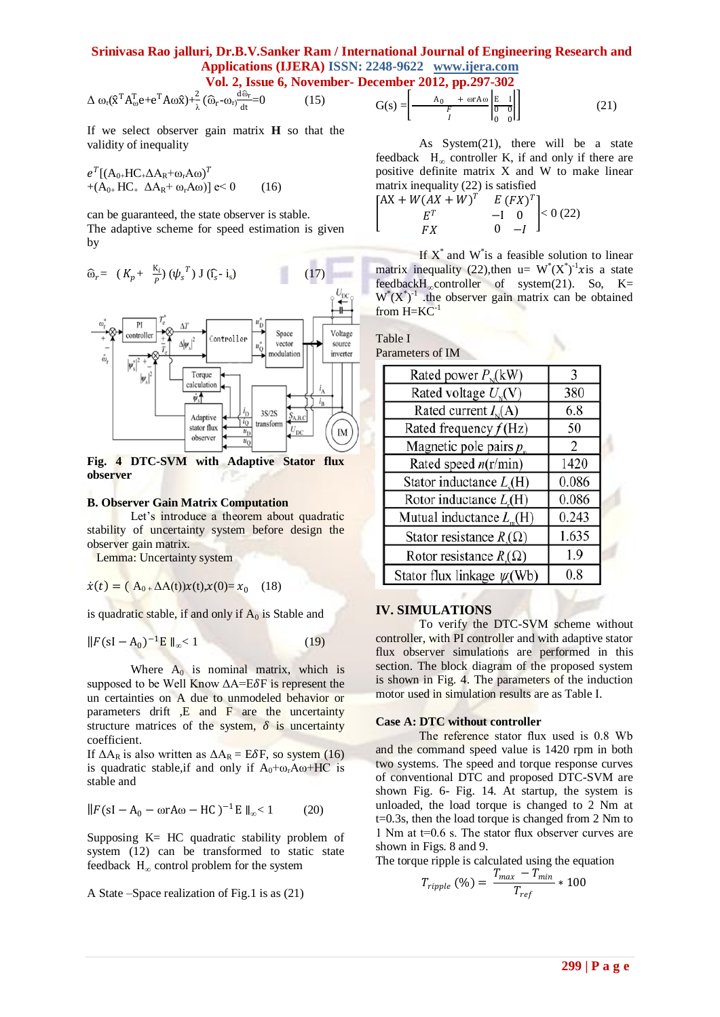# **Srinivasa Rao jalluri, Dr.B.V.Sanker Ram / International Journal of Engineering Research and Applications (IJERA) ISSN: 2248-9622 www.ijera.com**

**Vol. 2, Issue 6, November- December 2012, pp.297-302**

$$
\Delta \omega_r (\hat{\mathbf{x}}^T A_{\omega}^T \mathbf{e} + \mathbf{e}^T A \omega \hat{\mathbf{x}}) + \frac{2}{\lambda} (\widehat{\omega}_r - \omega_r) \frac{d \widehat{\omega}_r}{dt} = 0 \tag{15}
$$

If we select observer gain matrix **H** so that the validity of inequality

 $e^T[(\rm A_{0+}HC_+\Delta A_R+\omega_rA\omega)^T$ +( $A_{0+}$  HC<sub>+</sub>  $\Delta A_R$ +  $\omega_r$ A $\omega$ )] e < 0 (16)

can be guaranteed, the state observer is stable.

The adaptive scheme for speed estimation is given by



**Fig. 4 DTC-SVM with Adaptive Stator flux observer**

### **B. Observer Gain Matrix Computation**

Let's introduce a theorem about quadratic stability of uncertainty system before design the observer gain matrix.

Lemma: Uncertainty system

$$
\dot{x}(t) = (A_{0+} \Delta A(t))x(t), x(0) = x_0 \quad (18)
$$

is quadratic stable, if and only if  $A_0$  is Stable and

$$
||F(sI - A_0)^{-1}E||_{\infty} < 1
$$
 (19)

Where  $A_0$  is nominal matrix, which is supposed to be Well Know  $\Delta A = E \delta F$  is represent the un certainties on A due to unmodeled behavior or parameters drift ,E and F are the uncertainty structure matrices of the system,  $\delta$  is uncertainty coefficient.

If  $\Delta A_R$  is also written as  $\Delta A_R = E\delta F$ , so system (16) is quadratic stable,if and only if  $A_0 + \omega_r A \omega + HC$  is stable and

$$
||F(sI - A_0 - \omega r A \omega - HC)^{-1}E||_{\infty} < 1
$$
 (20)

Supposing K= HC quadratic stability problem of system (12) can be transformed to static state feedback H*<sup>∞</sup>* control problem for the system

A State –Space realization of Fig.1 is as (21)

$$
G(s) = \left[ \frac{A_0 + \omega r A \omega}{\frac{F}{I}} \left| \frac{E}{\frac{1}{0}} \frac{I}{0} \right| \right] \tag{21}
$$

As System(21), there will be a state feedback H*<sup>∞</sup>* controller K, if and only if there are positive definite matrix X and W to make linear matrix inequality (22) is satisfied

I  $[AX + W(AX + W)^T]$  $T E$  $E^T$  $\overline{F}Y$  $-\mathbf{I}$ 0  $(FX)^T$ 0  $-I$  $|< 0(22)$ 

If  $X^*$  and  $W^*$  is a feasible solution to linear matrix inequality (22), then  $u = W^*(X^*)^{-1}$ xis a state feedbackH*∞*controller of system(21). So, K=  $W^*(X^*)^{-1}$  .the observer gain matrix can be obtained from  $H=KC^{-1}$ 

| Table I          |  |
|------------------|--|
| Parameters of IM |  |

| Rated power $P_{N}(kW)$                 | 3     |
|-----------------------------------------|-------|
| Rated voltage $U_{N}(V)$                | 380   |
| Rated current $I_{N}(A)$                | 6.8   |
| Rated frequency $f(Hz)$                 | 50    |
| Magnetic pole pairs $p_n$               | 2     |
| Rated speed $n(r/min)$                  | 1420  |
| Stator inductance $Ls(H)$               | 0.086 |
| Rotor inductance $L(H)$                 | 0.086 |
| Mutual inductance $L_m(H)$              | 0.243 |
| Stator resistance $R_{\lambda}(\Omega)$ | 1.635 |
| Rotor resistance $R_1(\Omega)$          | 1.9   |
| Stator flux linkage $\psi(\text{Wb})$   | 0.8   |

### **IV. SIMULATIONS**

To verify the DTC-SVM scheme without controller, with PI controller and with adaptive stator flux observer simulations are performed in this section. The block diagram of the proposed system is shown in Fig. 4. The parameters of the induction motor used in simulation results are as Table I.

### **Case A: DTC without controller**

The reference stator flux used is 0.8 Wb and the command speed value is 1420 rpm in both two systems. The speed and torque response curves of conventional DTC and proposed DTC-SVM are shown Fig. 6- Fig. 14. At startup, the system is unloaded, the load torque is changed to 2 Nm at t=0.3s, then the load torque is changed from 2 Nm to 1 Nm at t=0.6 s. The stator flux observer curves are shown in Figs. 8 and 9.

The torque ripple is calculated using the equation

$$
T_{ripple} (96) = \frac{T_{max} - T_{min}}{T_{ref}} * 100
$$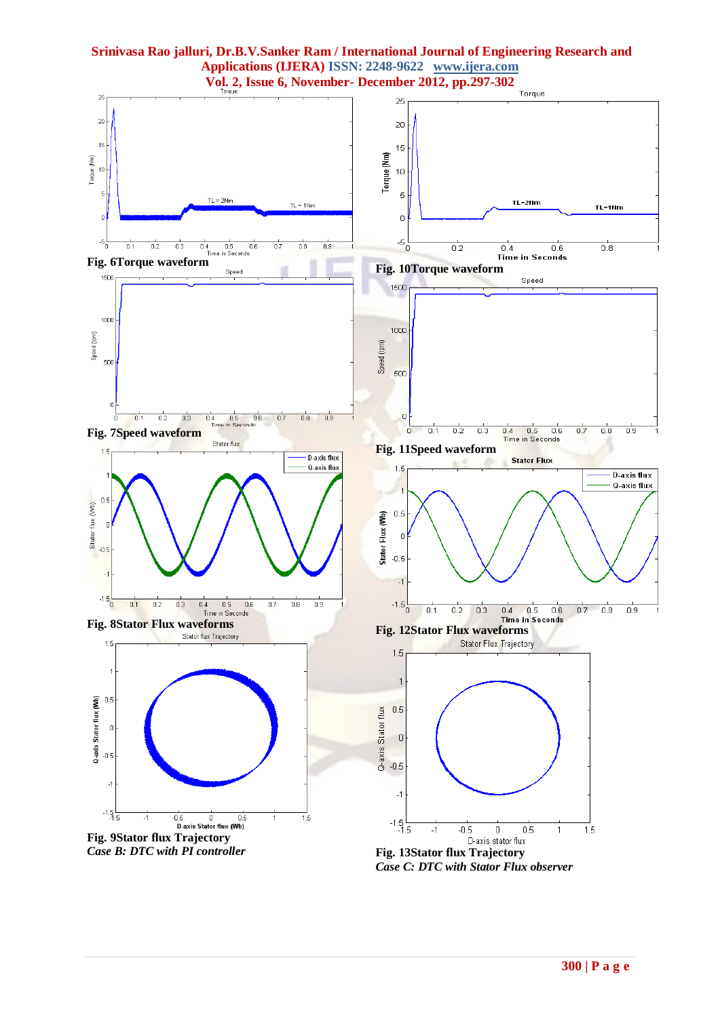

*Case C: DTC with Stator Flux observer*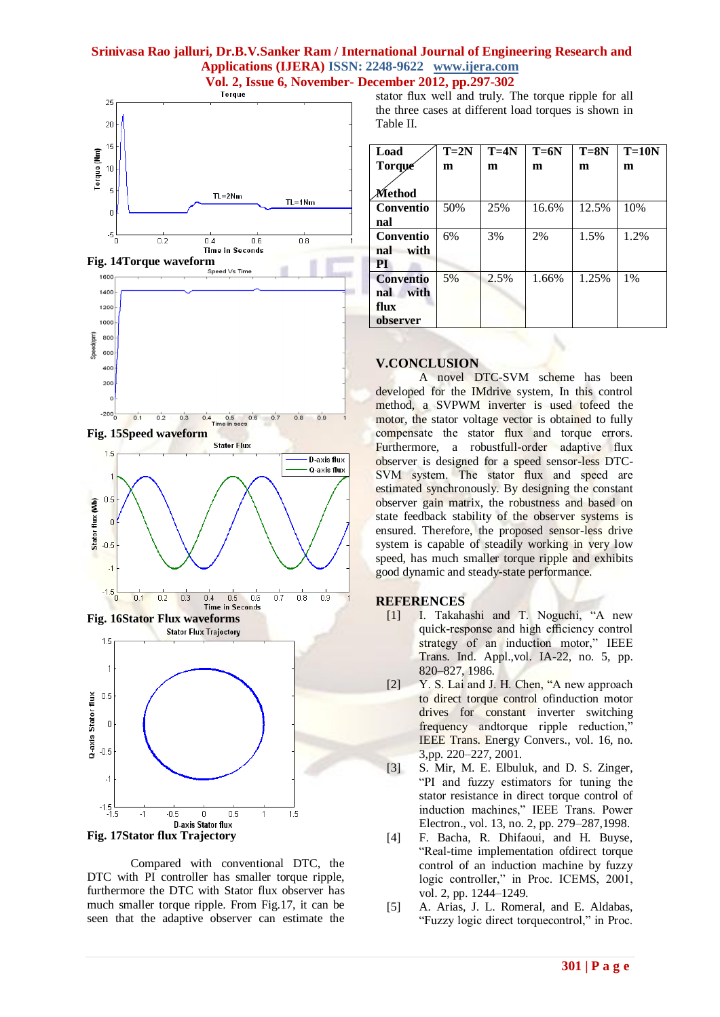





Compared with conventional DTC, the DTC with PI controller has smaller torque ripple, furthermore the DTC with Stator flux observer has much smaller torque ripple. From Fig.17, it can be seen that the adaptive observer can estimate the stator flux well and truly. The torque ripple for all the three cases at different load torques is shown in Table II.

| Load             | $T=2N$ | $T = 4N$ | $T = 6N$ | $T = 8N$ | $T=10N$ |
|------------------|--------|----------|----------|----------|---------|
| Torque           | m      | m        | m        | m        | m       |
|                  |        |          |          |          |         |
| Method           |        |          |          |          |         |
| Conventio        | 50%    | 25%      | 16.6%    | 12.5%    | 10%     |
| nal              |        |          |          |          |         |
| Conventio        | 6%     | 3%       | 2%       | 1.5%     | 1.2%    |
| with<br>nal      |        |          |          |          |         |
| <b>PI</b>        |        |          |          |          |         |
| <b>Conventio</b> | 5%     | 2.5%     | 1.66%    | 1.25%    | 1%      |
| with<br>nal      |        |          |          |          |         |
| flux             |        |          |          |          |         |
| observer         |        |          |          |          |         |

# **V.CONCLUSION**

A novel DTC-SVM scheme has been developed for the IMdrive system, In this control method, a SVPWM inverter is used tofeed the motor, the stator voltage vector is obtained to fully compensate the stator flux and torque errors. Furthermore, a robustfull-order adaptive flux observer is designed for a speed sensor-less DTC-SVM system. The stator flux and speed are estimated synchronously. By designing the constant observer gain matrix, the robustness and based on state feedback stability of the observer systems is ensured. Therefore, the proposed sensor-less drive system is capable of steadily working in very low speed, has much smaller torque ripple and exhibits good dynamic and steady-state performance.

# **REFERENCES**

- [1] I. Takahashi and T. Noguchi, "A new quick-response and high efficiency control strategy of an induction motor," IEEE Trans. Ind. Appl.,vol. IA-22, no. 5, pp. 820–827, 1986.
- [2] Y. S. Lai and J. H. Chen, "A new approach to direct torque control ofinduction motor drives for constant inverter switching frequency andtorque ripple reduction," IEEE Trans. Energy Convers., vol. 16, no. 3,pp. 220–227, 2001.
- [3] S. Mir, M. E. Elbuluk, and D. S. Zinger, "PI and fuzzy estimators for tuning the stator resistance in direct torque control of induction machines," IEEE Trans. Power Electron., vol. 13, no. 2, pp. 279–287,1998.
- [4] F. Bacha, R. Dhifaoui, and H. Buyse, "Real-time implementation ofdirect torque control of an induction machine by fuzzy logic controller," in Proc. ICEMS, 2001, vol. 2, pp. 1244–1249.
- [5] A. Arias, J. L. Romeral, and E. Aldabas, "Fuzzy logic direct torquecontrol," in Proc.